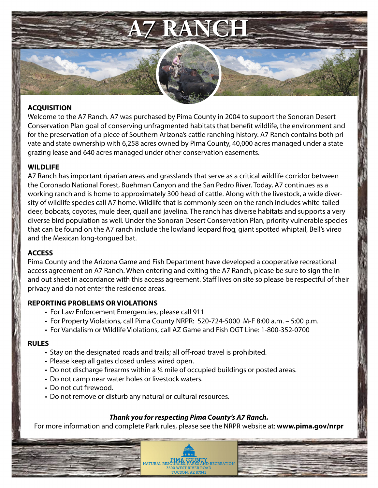

### **ACQUISITION**

Welcome to the A7 Ranch. A7 was purchased by Pima County in 2004 to support the Sonoran Desert Conservation Plan goal of conserving unfragmented habitats that benefit wildlife, the environment and for the preservation of a piece of Southern Arizona's cattle ranching history. A7 Ranch contains both private and state ownership with 6,258 acres owned by Pima County, 40,000 acres managed under a state grazing lease and 640 acres managed under other conservation easements.

### **WILDLIFE**

A7 Ranch has important riparian areas and grasslands that serve as a critical wildlife corridor between the Coronado National Forest, Buehman Canyon and the San Pedro River. Today, A7 continues as a working ranch and is home to approximately 300 head of cattle. Along with the livestock, a wide diversity of wildlife species call A7 home. Wildlife that is commonly seen on the ranch includes white-tailed deer, bobcats, coyotes, mule deer, quail and javelina. The ranch has diverse habitats and supports a very diverse bird population as well. Under the Sonoran Desert Conservation Plan, priority vulnerable species that can be found on the A7 ranch include the lowland leopard frog, giant spotted whiptail, Bell's vireo and the Mexican long-tongued bat.

# **ACCESS**

Pima County and the Arizona Game and Fish Department have developed a cooperative recreational access agreement on A7 Ranch. When entering and exiting the A7 Ranch, please be sure to sign the in and out sheet in accordance with this access agreement. Staff lives on site so please be respectful of their privacy and do not enter the residence areas.

#### **REPORTING PROBLEMS OR VIOLATIONS**

- For Law Enforcement Emergencies, please call 911
- For Property Violations, call Pima County NRPR: 520-724-5000 M-F 8:00 a.m. 5:00 p.m.
- For Vandalism or Wildlife Violations, call AZ Game and Fish OGT Line: 1-800-352-0700

#### **RULES**

- Stay on the designated roads and trails; all off-road travel is prohibited.
- Please keep all gates closed unless wired open.
- Do not discharge firearms within a ¼ mile of occupied buildings or posted areas.
- Do not camp near water holes or livestock waters.
- Do not cut firewood.
- Do not remove or disturb any natural or cultural resources.

# *Thank you for respecting Pima County's A7 Ranch.*

For more information and complete Park rules, please see the NRPR website at: **www.pima.gov/nrpr**

**PIMA COUNTY**<br>NATURAL RESOURCES, PARKS AND RECREATION **3500 WEST RIVER ROAL** TUCSON, AZ 87541